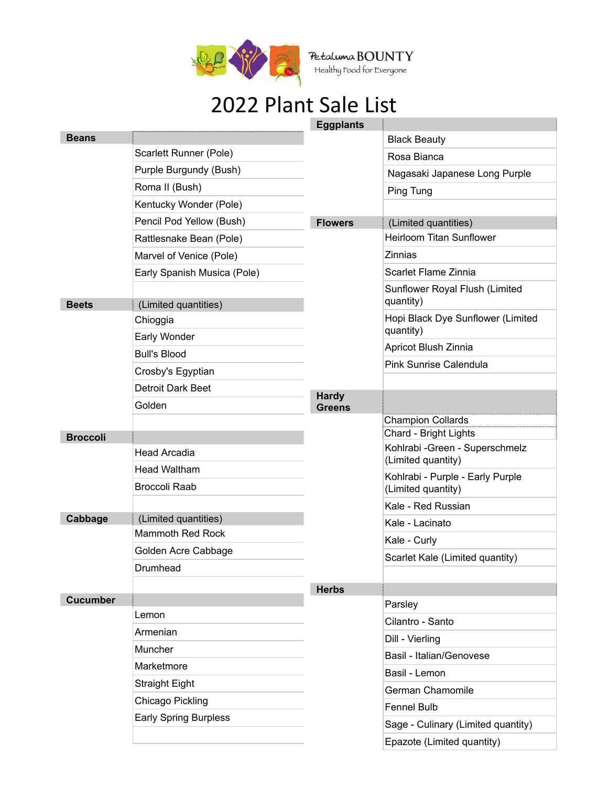

Petaluma BOUNTY<br>Healthy Food for Everyone

## 2022 Plant Sale List

|                 |                              | <b>Eggplants</b> |                                                          |
|-----------------|------------------------------|------------------|----------------------------------------------------------|
| <b>Beans</b>    |                              |                  | <b>Black Beauty</b>                                      |
|                 | Scarlett Runner (Pole)       |                  | Rosa Bianca                                              |
|                 | Purple Burgundy (Bush)       |                  | Nagasaki Japanese Long Purple                            |
|                 | Roma II (Bush)               |                  | Ping Tung                                                |
|                 | Kentucky Wonder (Pole)       |                  |                                                          |
|                 | Pencil Pod Yellow (Bush)     | <b>Flowers</b>   | (Limited quantities)                                     |
|                 | Rattlesnake Bean (Pole)      |                  | <b>Heirloom Titan Sunflower</b>                          |
|                 | Marvel of Venice (Pole)      |                  | <b>Zinnias</b>                                           |
|                 | Early Spanish Musica (Pole)  |                  | Scarlet Flame Zinnia                                     |
|                 |                              |                  | Sunflower Royal Flush (Limited                           |
| <b>Beets</b>    | (Limited quantities)         |                  | quantity)                                                |
|                 | Chioggia                     |                  | Hopi Black Dye Sunflower (Limited<br>quantity)           |
|                 | Early Wonder                 |                  | Apricot Blush Zinnia                                     |
|                 | <b>Bull's Blood</b>          |                  | <b>Pink Sunrise Calendula</b>                            |
|                 | Crosby's Egyptian            | <b>Hardy</b>     |                                                          |
|                 | Detroit Dark Beet            |                  |                                                          |
|                 | Golden                       | <b>Greens</b>    |                                                          |
|                 |                              |                  | <b>Champion Collards</b>                                 |
| <b>Broccoli</b> |                              |                  | Chard - Bright Lights<br>Kohlrabi - Green - Superschmelz |
|                 | <b>Head Arcadia</b>          |                  | (Limited quantity)                                       |
|                 | <b>Head Waltham</b>          |                  | Kohlrabi - Purple - Early Purple                         |
|                 | <b>Broccoli Raab</b>         |                  | (Limited quantity)                                       |
|                 |                              |                  | Kale - Red Russian                                       |
| Cabbage         | (Limited quantities)         |                  | Kale - Lacinato                                          |
|                 | <b>Mammoth Red Rock</b>      |                  | Kale - Curly                                             |
|                 | Golden Acre Cabbage          |                  | Scarlet Kale (Limited quantity)                          |
|                 | Drumhead                     |                  |                                                          |
|                 |                              | <b>Herbs</b>     |                                                          |
| <b>Cucumber</b> | Lemon                        |                  | Parsley                                                  |
|                 | Armenian                     |                  | Cilantro - Santo                                         |
|                 |                              |                  | Dill - Vierling                                          |
|                 | Muncher                      |                  | Basil - Italian/Genovese                                 |
|                 | Marketmore                   |                  | Basil - Lemon                                            |
|                 | <b>Straight Eight</b>        |                  | German Chamomile                                         |
|                 | Chicago Pickling             |                  | <b>Fennel Bulb</b>                                       |
|                 | <b>Early Spring Burpless</b> |                  | Sage - Culinary (Limited quantity)                       |
|                 |                              |                  | Epazote (Limited quantity)                               |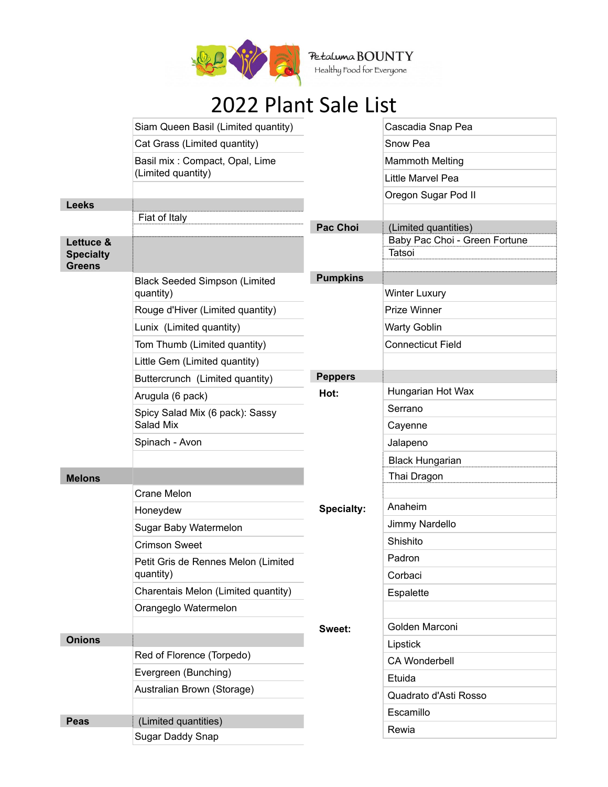

Petaluma BOUNTY<br>Healthy Food for Everyone

## 2022 Plant Sale List

|                                                | Siam Queen Basil (Limited quantity)              |                   | Cascadia Snap Pea                       |
|------------------------------------------------|--------------------------------------------------|-------------------|-----------------------------------------|
|                                                | Cat Grass (Limited quantity)                     |                   | Snow Pea                                |
|                                                | Basil mix: Compact, Opal, Lime                   |                   | <b>Mammoth Melting</b>                  |
|                                                | (Limited quantity)                               |                   | Little Marvel Pea                       |
|                                                |                                                  |                   | Oregon Sugar Pod II                     |
| <b>Leeks</b>                                   | Fiat of Italy                                    |                   |                                         |
|                                                |                                                  | <b>Pac Choi</b>   | (Limited quantities)                    |
| Lettuce &<br><b>Specialty</b><br><b>Greens</b> |                                                  |                   | Baby Pac Choi - Green Fortune<br>Tatsoi |
|                                                | <b>Black Seeded Simpson (Limited</b>             | <b>Pumpkins</b>   |                                         |
|                                                | quantity)                                        |                   | <b>Winter Luxury</b>                    |
|                                                | Rouge d'Hiver (Limited quantity)                 |                   | Prize Winner                            |
|                                                | Lunix (Limited quantity)                         |                   | <b>Warty Goblin</b>                     |
|                                                | Tom Thumb (Limited quantity)                     |                   | <b>Connecticut Field</b>                |
|                                                | Little Gem (Limited quantity)                    |                   |                                         |
|                                                | Buttercrunch (Limited quantity)                  | <b>Peppers</b>    |                                         |
|                                                | Arugula (6 pack)                                 | Hot:              | Hungarian Hot Wax                       |
|                                                | Spicy Salad Mix (6 pack): Sassy                  |                   | Serrano                                 |
|                                                | Salad Mix                                        |                   | Cayenne                                 |
|                                                | Spinach - Avon                                   |                   | Jalapeno                                |
|                                                |                                                  |                   | <b>Black Hungarian</b>                  |
| <b>Melons</b>                                  |                                                  |                   | Thai Dragon                             |
|                                                | Crane Melon                                      | <b>Specialty:</b> |                                         |
|                                                | Honeydew                                         |                   | Anaheim                                 |
|                                                | Sugar Baby Watermelon                            |                   | Jimmy Nardello                          |
|                                                | <b>Crimson Sweet</b>                             |                   | Shishito                                |
|                                                | Petit Gris de Rennes Melon (Limited              |                   | Padron                                  |
|                                                | quantity)<br>Charentais Melon (Limited quantity) |                   | Corbaci                                 |
|                                                | Orangeglo Watermelon                             |                   | Espalette                               |
|                                                |                                                  |                   |                                         |
| <b>Onions</b>                                  |                                                  | Sweet:            | Golden Marconi                          |
|                                                | Red of Florence (Torpedo)                        |                   | Lipstick                                |
|                                                | Evergreen (Bunching)                             |                   | <b>CA Wonderbell</b>                    |
|                                                | Australian Brown (Storage)                       |                   | Etuida                                  |
|                                                |                                                  |                   | Quadrato d'Asti Rosso                   |
| <b>Peas</b>                                    | (Limited quantities)                             |                   | Escamillo                               |
|                                                | Sugar Daddy Snap                                 |                   | Rewia                                   |